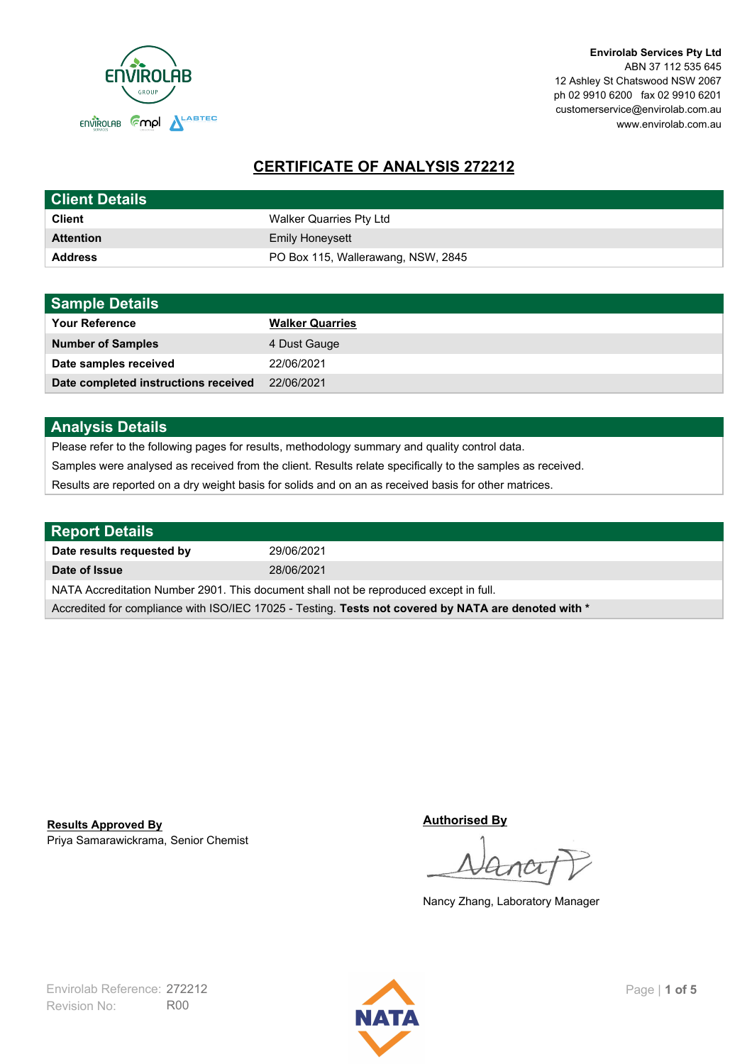

**Envirolab Services Pty Ltd** ABN 37 112 535 645 12 Ashley St Chatswood NSW 2067 ph 02 9910 6200 fax 02 9910 6201 customerservice@envirolab.com.au www.envirolab.com.au

# **CERTIFICATE OF ANALYSIS 272212**

| <b>Client Details</b> |                                    |
|-----------------------|------------------------------------|
| <b>Client</b>         | Walker Quarries Pty Ltd            |
| <b>Attention</b>      | <b>Emily Honeysett</b>             |
| <b>Address</b>        | PO Box 115, Wallerawang, NSW, 2845 |

| <b>Sample Details</b>                |                        |
|--------------------------------------|------------------------|
| <b>Your Reference</b>                | <b>Walker Quarries</b> |
| <b>Number of Samples</b>             | 4 Dust Gauge           |
| Date samples received                | 22/06/2021             |
| Date completed instructions received | 22/06/2021             |

## **Analysis Details**

Please refer to the following pages for results, methodology summary and quality control data.

Samples were analysed as received from the client. Results relate specifically to the samples as received.

Results are reported on a dry weight basis for solids and on an as received basis for other matrices.

| <b>Report Details</b>                                                                                |            |  |
|------------------------------------------------------------------------------------------------------|------------|--|
| Date results requested by                                                                            | 29/06/2021 |  |
| Date of Issue                                                                                        | 28/06/2021 |  |
| NATA Accreditation Number 2901. This document shall not be reproduced except in full.                |            |  |
| Accredited for compliance with ISO/IEC 17025 - Testing. Tests not covered by NATA are denoted with * |            |  |

Priya Samarawickrama, Senior Chemist **Results Approved By**

**Authorised By**

Nancy Zhang, Laboratory Manager

Revision No: R00 Envirolab Reference: 272212 **Page | 1 of 5** 

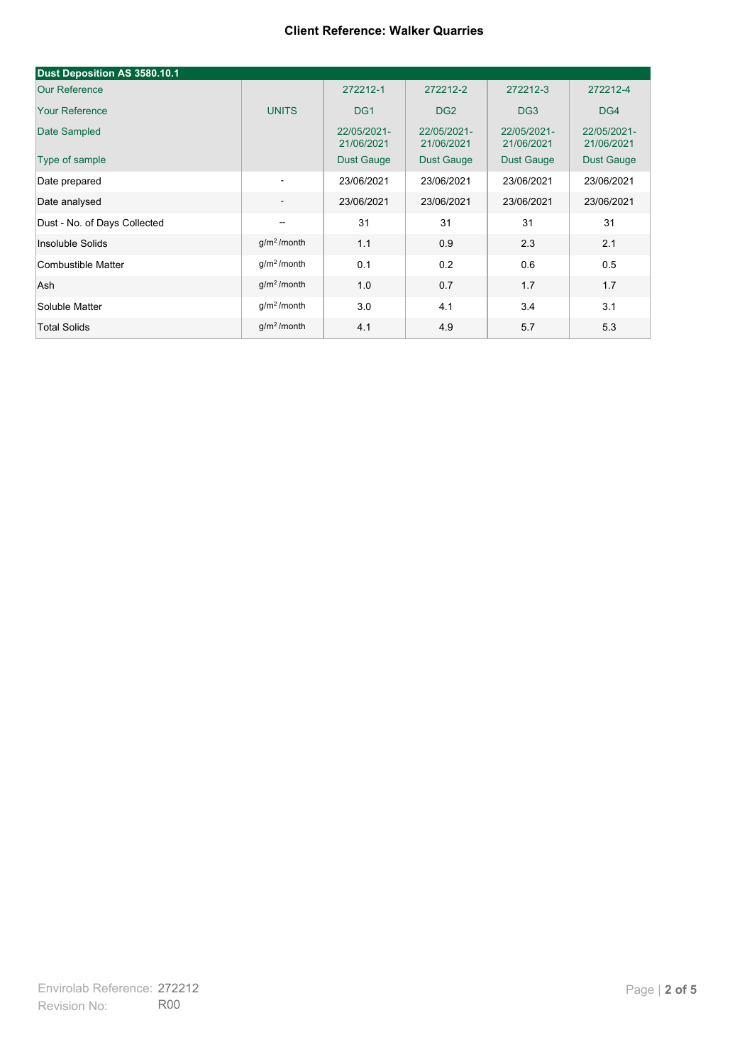| Dust Deposition AS 3580.10.1 |                          |                           |                           |                           |                           |
|------------------------------|--------------------------|---------------------------|---------------------------|---------------------------|---------------------------|
| <b>Our Reference</b>         |                          | 272212-1                  | 272212-2                  | 272212-3                  | 272212-4                  |
| <b>Your Reference</b>        | <b>UNITS</b>             | DG <sub>1</sub>           | DG <sub>2</sub>           | DG <sub>3</sub>           | DG4                       |
| Date Sampled                 |                          | 22/05/2021-<br>21/06/2021 | 22/05/2021-<br>21/06/2021 | 22/05/2021-<br>21/06/2021 | 22/05/2021-<br>21/06/2021 |
| Type of sample               |                          | <b>Dust Gauge</b>         | <b>Dust Gauge</b>         | <b>Dust Gauge</b>         | Dust Gauge                |
| Date prepared                | $\overline{\phantom{a}}$ | 23/06/2021                | 23/06/2021                | 23/06/2021                | 23/06/2021                |
| Date analysed                | $\overline{\phantom{a}}$ | 23/06/2021                | 23/06/2021                | 23/06/2021                | 23/06/2021                |
| Dust - No. of Days Collected | $\overline{\phantom{a}}$ | 31                        | 31                        | 31                        | 31                        |
| Insoluble Solids             | g/m <sup>2</sup> /month  | 1.1                       | 0.9                       | 2.3                       | 2.1                       |
| Combustible Matter           | g/m <sup>2</sup> /month  | 0.1                       | 0.2                       | 0.6                       | 0.5                       |
| Ash                          | g/m <sup>2</sup> /month  | 1.0                       | 0.7                       | 1.7                       | 1.7                       |
| Soluble Matter               | g/m <sup>2</sup> /month  | 3.0                       | 4.1                       | 3.4                       | 3.1                       |
| <b>Total Solids</b>          | $g/m2$ /month            | 4.1                       | 4.9                       | 5.7                       | 5.3                       |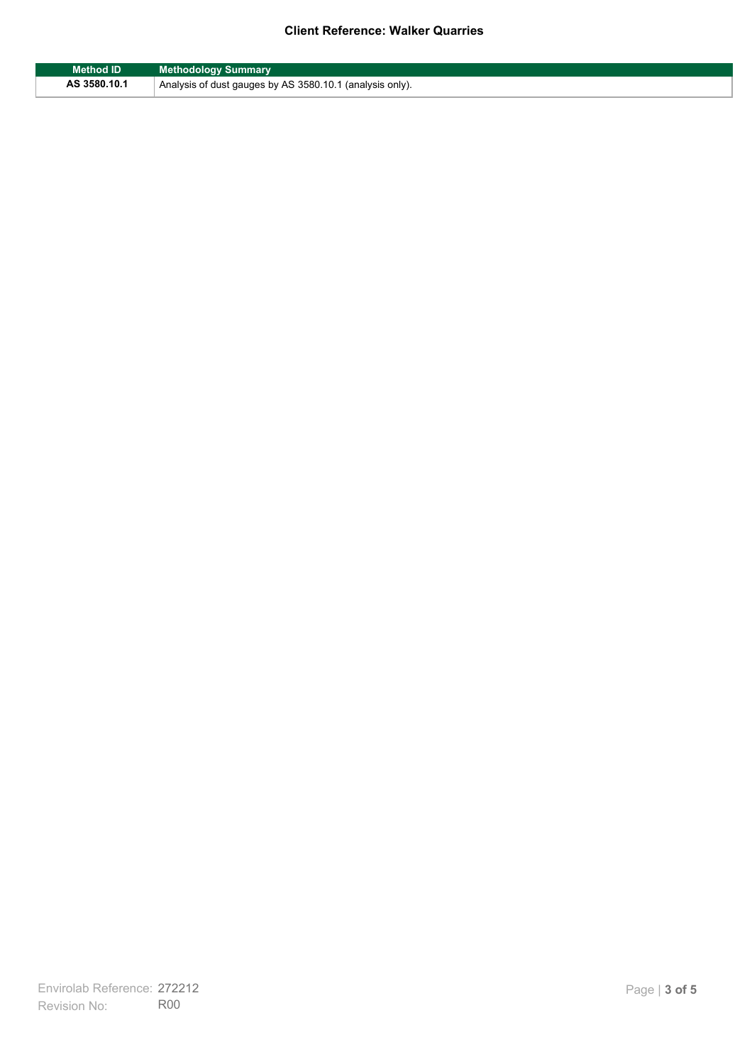| Method ID    | <b>Methodology Summary</b>                               |
|--------------|----------------------------------------------------------|
| AS 3580.10.1 | Analysis of dust gauges by AS 3580.10.1 (analysis only). |

F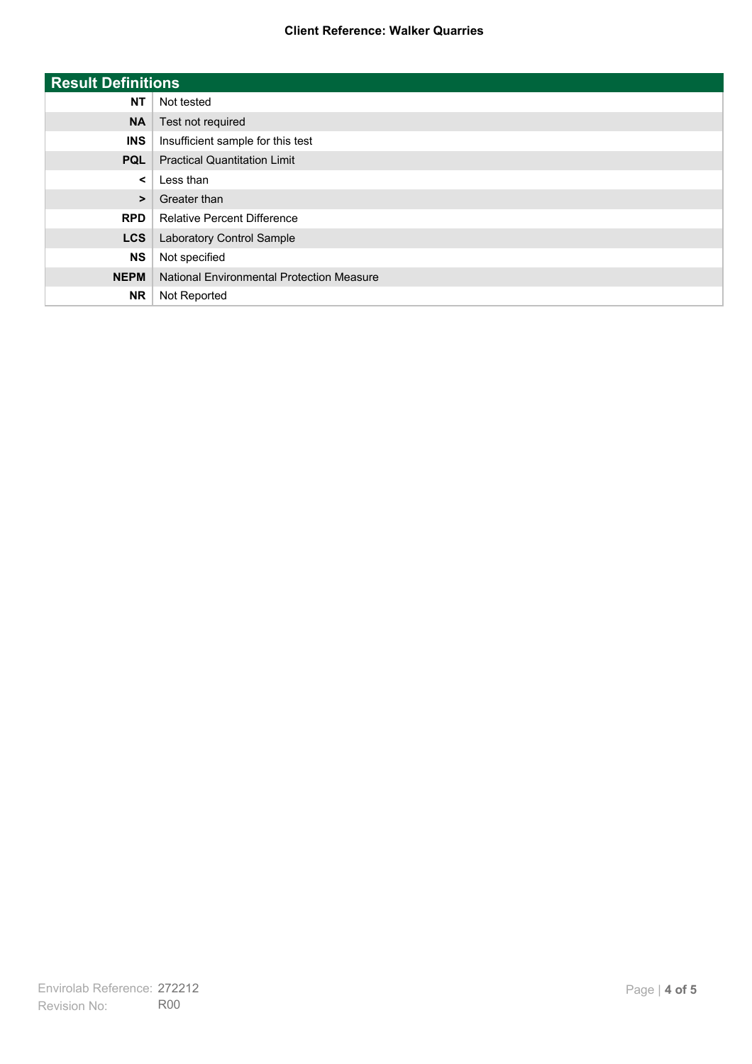| <b>Result Definitions</b> |                                           |
|---------------------------|-------------------------------------------|
| <b>NT</b>                 | Not tested                                |
| <b>NA</b>                 | Test not required                         |
| <b>INS</b>                | Insufficient sample for this test         |
| <b>PQL</b>                | <b>Practical Quantitation Limit</b>       |
| $\prec$                   | Less than                                 |
| $\geq$                    | Greater than                              |
| <b>RPD</b>                | <b>Relative Percent Difference</b>        |
| <b>LCS</b>                | Laboratory Control Sample                 |
| <b>NS</b>                 | Not specified                             |
| <b>NEPM</b>               | National Environmental Protection Measure |
| <b>NR</b>                 | Not Reported                              |